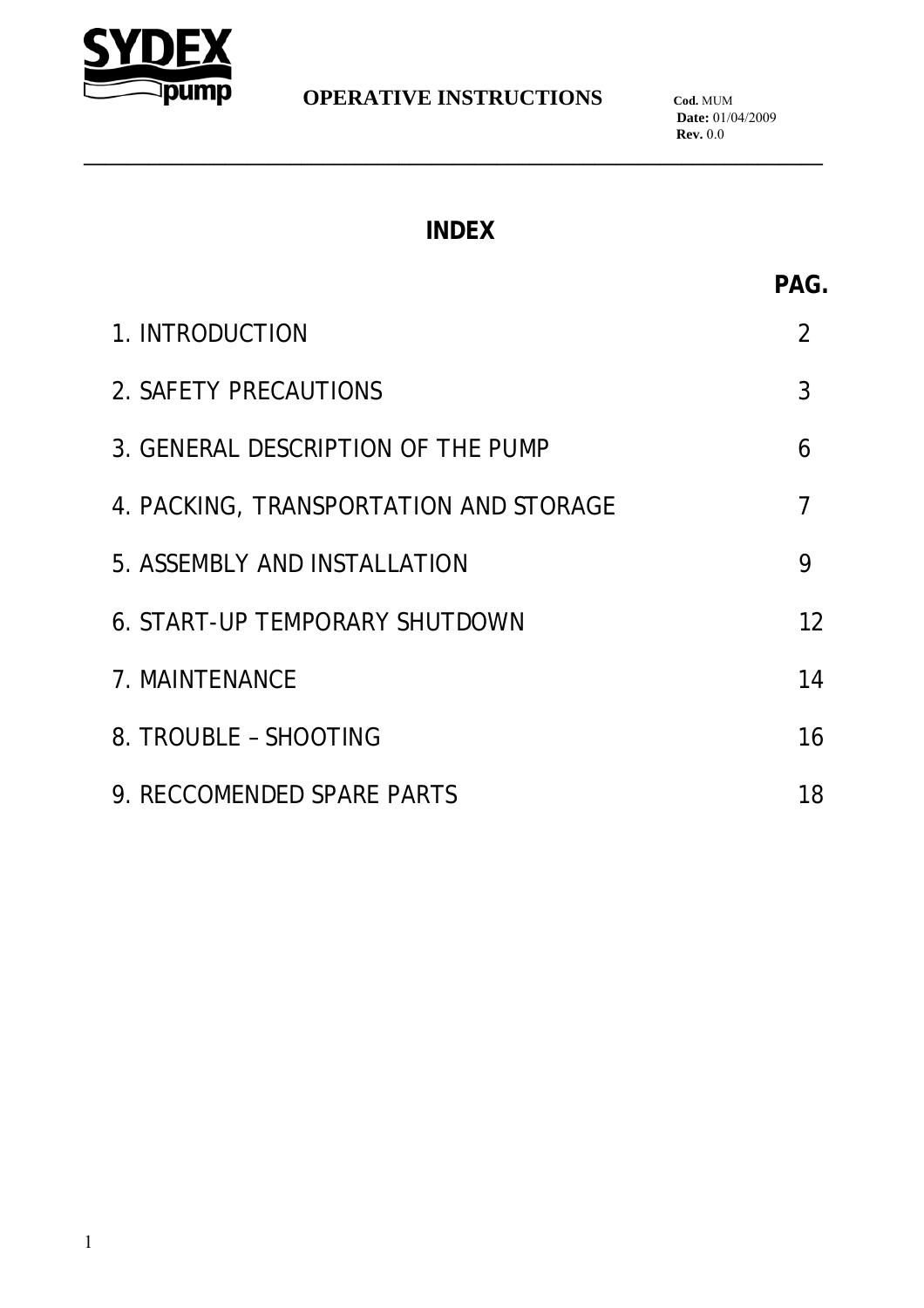

**\_\_\_\_\_\_\_\_\_\_\_\_\_\_\_\_\_\_\_\_\_\_\_\_\_\_\_\_\_\_\_\_\_\_\_\_\_\_\_\_\_\_\_\_\_\_\_\_\_\_\_\_\_\_\_\_\_\_\_\_\_\_\_\_\_\_\_\_**

# **INDEX**

| n  |  |
|----|--|
| ۰. |  |

| 1. INTRODUCTION                        |    |
|----------------------------------------|----|
| 2. SAFETY PRECAUTIONS                  | 3  |
| 3. GENERAL DESCRIPTION OF THE PUMP     | 6  |
| 4. PACKING, TRANSPORTATION AND STORAGE | 7  |
| 5. ASSEMBLY AND INSTALLATION           | 9  |
| <b>6. START-UP TEMPORARY SHUTDOWN</b>  | 12 |
| 7. MAINTENANCE                         | 14 |
| 8. TROUBLE - SHOOTING                  | 16 |
| 9. RECCOMENDED SPARE PARTS             | 18 |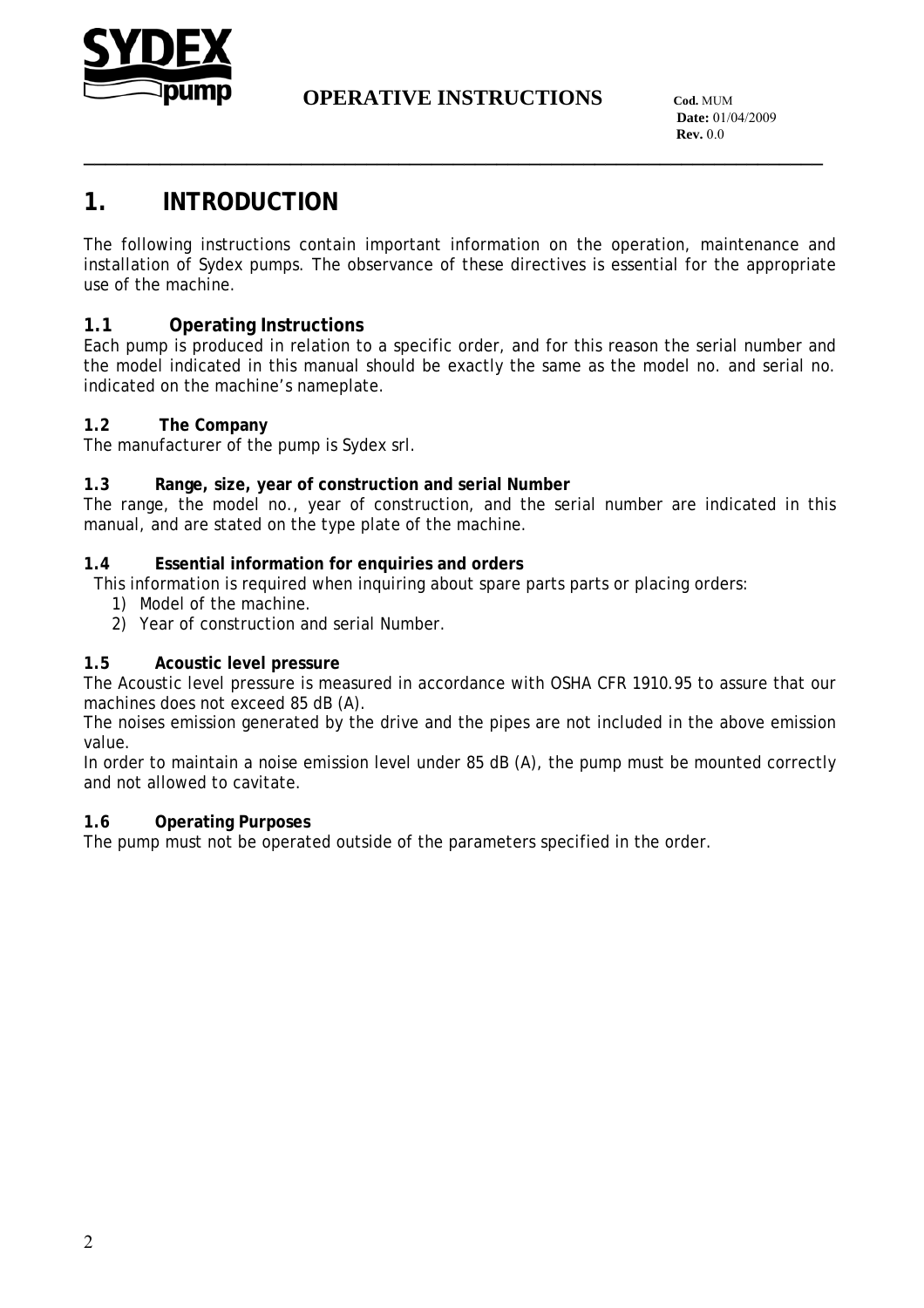

**\_\_\_\_\_\_\_\_\_\_\_\_\_\_\_\_\_\_\_\_\_\_\_\_\_\_\_\_\_\_\_\_\_\_\_\_\_\_\_\_\_\_\_\_\_\_\_\_\_\_\_\_\_\_\_\_\_\_\_\_\_\_\_\_\_\_\_\_**

 **Date:** 01/04/2009 **Rev.** 0.0

# **1. INTRODUCTION**

The following instructions contain important information on the operation, maintenance and installation of Sydex pumps. The observance of these directives is essential for the appropriate use of the machine.

#### **1.1 Operating Instructions**

Each pump is produced in relation to a specific order, and for this reason the serial number and the model indicated in this manual should be exactly the same as the model no. and serial no. indicated on the machine's nameplate.

#### **1.2 The Company**

The manufacturer of the pump is Sydex srl.

#### **1.3 Range, size, year of construction and serial Number**

The range, the model no., year of construction, and the serial number are indicated in this manual, and are stated on the type plate of the machine.

#### **1.4 Essential information for enquiries and orders**

This information is required when inquiring about spare parts parts or placing orders:

- 1) Model of the machine.
- 2) Year of construction and serial Number.

#### **1.5 Acoustic level pressure**

The Acoustic level pressure is measured in accordance with OSHA CFR 1910.95 to assure that our machines does not exceed 85 dB (A).

The noises emission generated by the drive and the pipes are not included in the above emission value.

In order to maintain a noise emission level under 85 dB (A), the pump must be mounted correctly and not allowed to cavitate.

#### **1.6 Operating Purposes**

The pump must not be operated outside of the parameters specified in the order.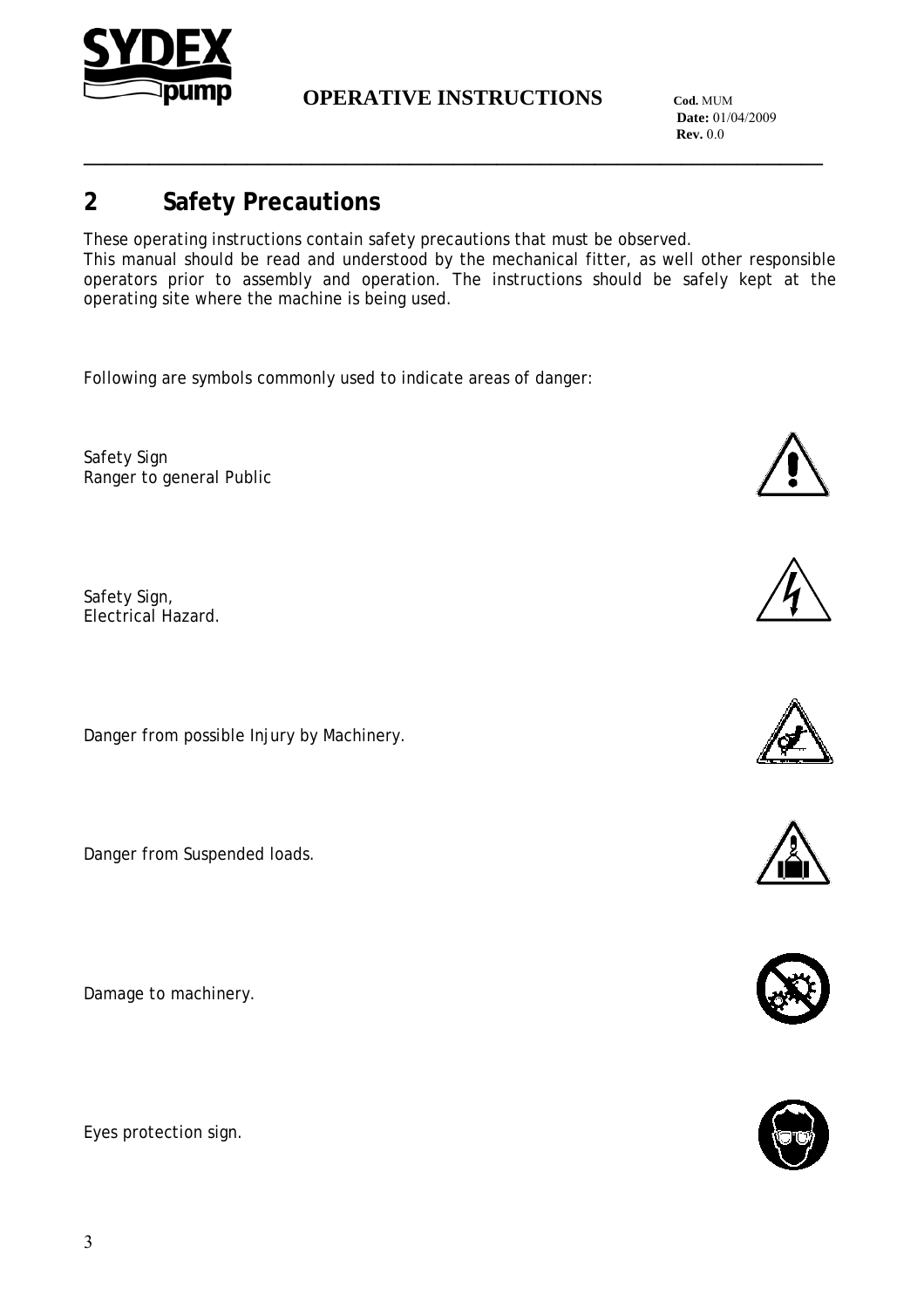

**\_\_\_\_\_\_\_\_\_\_\_\_\_\_\_\_\_\_\_\_\_\_\_\_\_\_\_\_\_\_\_\_\_\_\_\_\_\_\_\_\_\_\_\_\_\_\_\_\_\_\_\_\_\_\_\_\_\_\_\_\_\_\_\_\_\_\_\_**

 **Date:** 01/04/2009 **Rev.** 0.0

# **2 Safety Precautions**

These operating instructions contain safety precautions that must be observed. This manual should be read and understood by the mechanical fitter, as well other responsible operators prior to assembly and operation. The instructions should be safely kept at the operating site where the machine is being used.

Following are symbols commonly used to indicate areas of danger:

Safety Sign Ranger to general Public

Safety Sign, Electrical Hazard.

Danger from possible Injury by Machinery.

Danger from Suspended loads.

Damage to machinery.

Eyes protection sign.











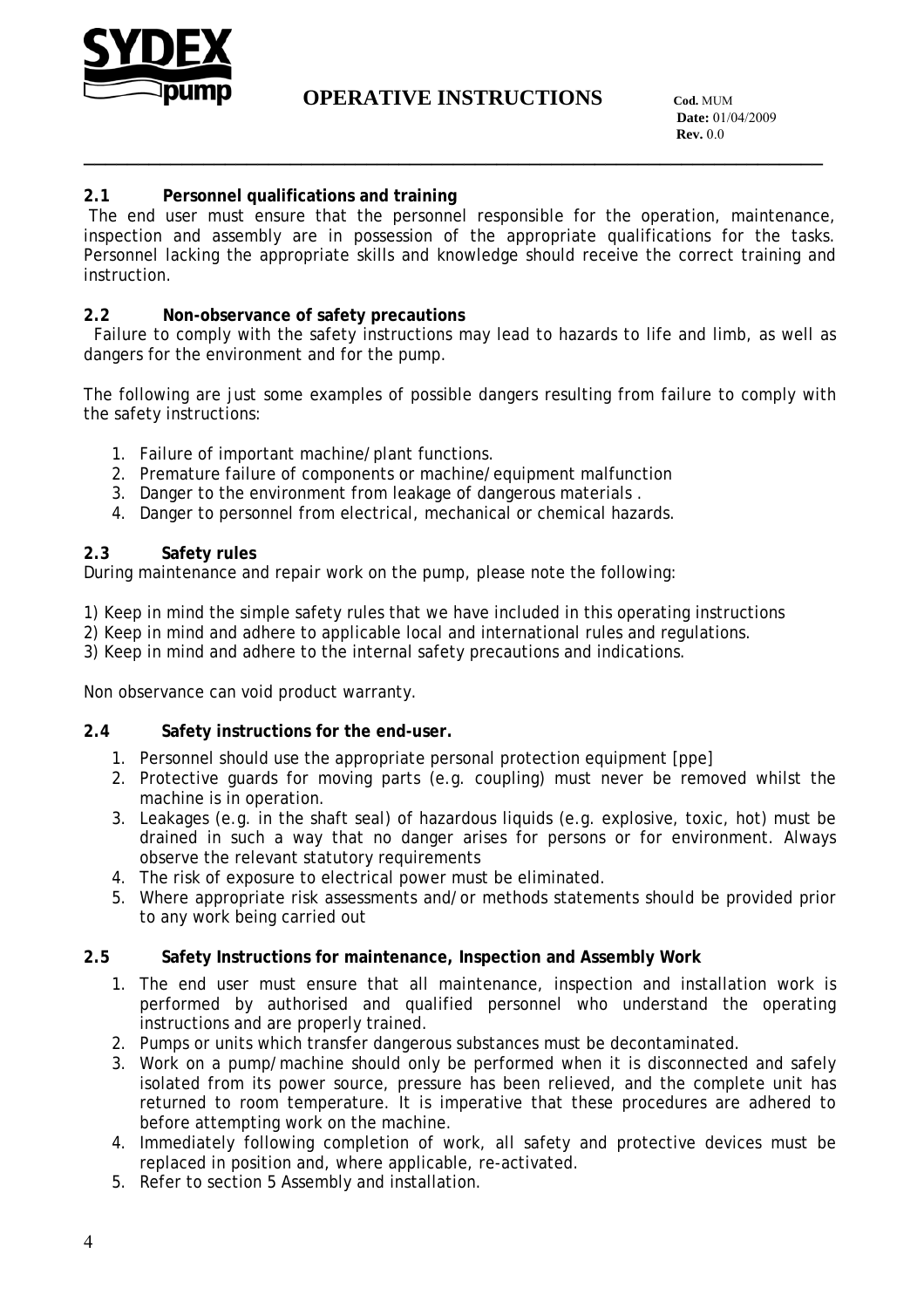

**\_\_\_\_\_\_\_\_\_\_\_\_\_\_\_\_\_\_\_\_\_\_\_\_\_\_\_\_\_\_\_\_\_\_\_\_\_\_\_\_\_\_\_\_\_\_\_\_\_\_\_\_\_\_\_\_\_\_\_\_\_\_\_\_\_\_\_\_**

#### **2.1 Personnel qualifications and training**

 The end user must ensure that the personnel responsible for the operation, maintenance, inspection and assembly are in possession of the appropriate qualifications for the tasks. Personnel lacking the appropriate skills and knowledge should receive the correct training and instruction.

#### **2.2 Non-observance of safety precautions**

 Failure to comply with the safety instructions may lead to hazards to life and limb, as well as dangers for the environment and for the pump.

The following are just some examples of possible dangers resulting from failure to comply with the safety instructions:

- 1. Failure of important machine/plant functions.
- 2. Premature failure of components or machine/equipment malfunction
- 3. Danger to the environment from leakage of dangerous materials .
- 4. Danger to personnel from electrical, mechanical or chemical hazards.

#### **2.3 Safety rules**

During maintenance and repair work on the pump, please note the following:

1) Keep in mind the simple safety rules that we have included in this operating instructions

2) Keep in mind and adhere to applicable local and international rules and regulations.

3) Keep in mind and adhere to the internal safety precautions and indications.

Non observance can void product warranty.

#### **2.4 Safety instructions for the end-user.**

- 1. Personnel should use the appropriate personal protection equipment [ppe]
- 2. Protective guards for moving parts (e.g. coupling) must never be removed whilst the machine is in operation.
- 3. Leakages (e.g. in the shaft seal) of hazardous liquids (e.g. explosive, toxic, hot) must be drained in such a way that no danger arises for persons or for environment. Always observe the relevant statutory requirements
- 4. The risk of exposure to electrical power must be eliminated.
- 5. Where appropriate risk assessments and/or methods statements should be provided prior to any work being carried out

#### **2.5 Safety Instructions for maintenance, Inspection and Assembly Work**

- 1. The end user must ensure that all maintenance, inspection and installation work is performed by authorised and qualified personnel who understand the operating instructions and are properly trained.
- 2. Pumps or units which transfer dangerous substances must be decontaminated.
- 3. Work on a pump/machine should only be performed when it is disconnected and safely isolated from its power source, pressure has been relieved, and the complete unit has returned to room temperature. It is imperative that these procedures are adhered to before attempting work on the machine.
- 4. Immediately following completion of work, all safety and protective devices must be replaced in position and, where applicable, re-activated.
- 5. Refer to section 5 Assembly and installation.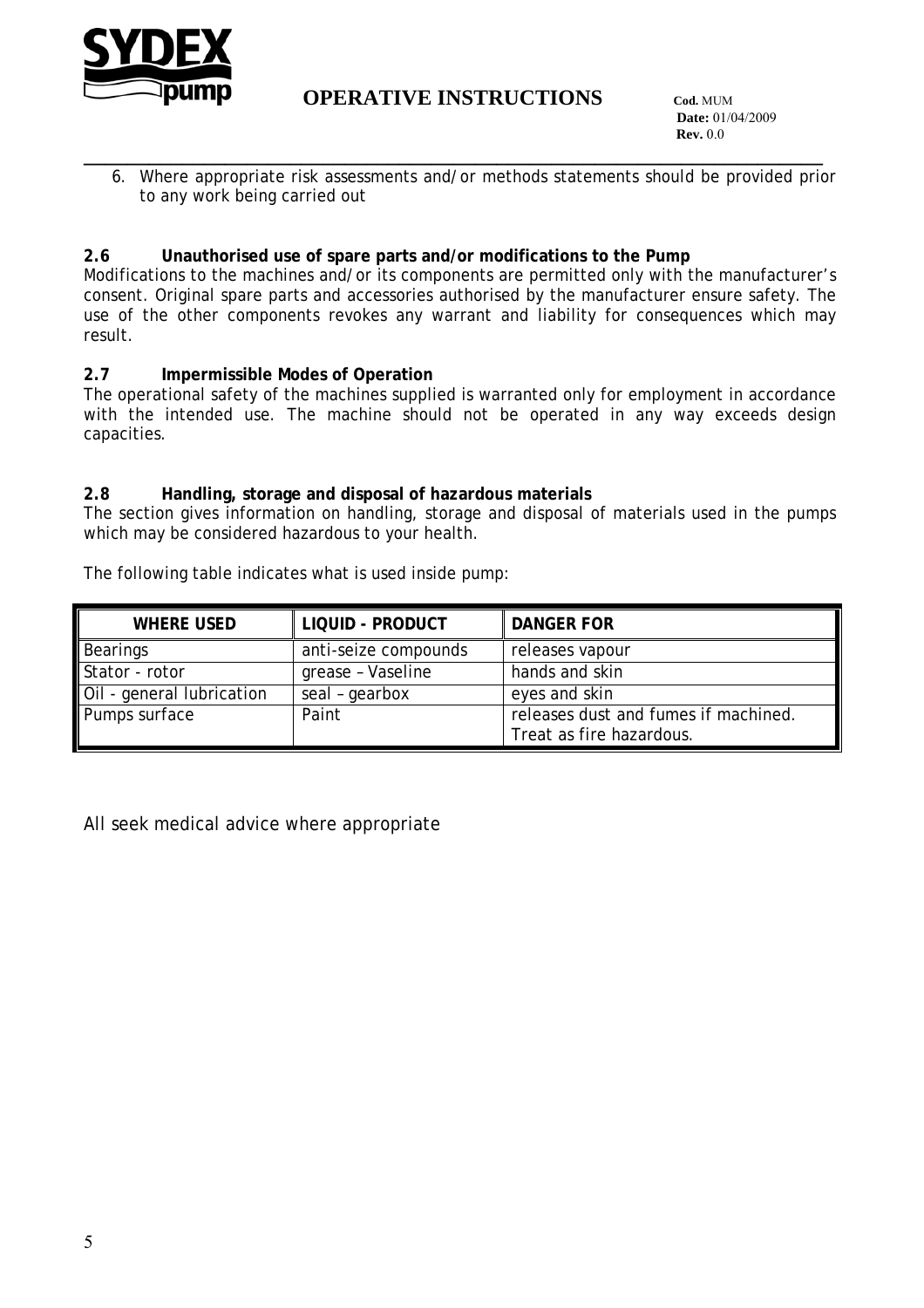

 **Date:** 01/04/2009 **Rev.** 0.0

**\_\_\_\_\_\_\_\_\_\_\_\_\_\_\_\_\_\_\_\_\_\_\_\_\_\_\_\_\_\_\_\_\_\_\_\_\_\_\_\_\_\_\_\_\_\_\_\_\_\_\_\_\_\_\_\_\_\_\_\_\_\_\_\_\_\_\_\_** 6. Where appropriate risk assessments and/or methods statements should be provided prior to any work being carried out

#### **2.6 Unauthorised use of spare parts and/or modifications to the Pump**

Modifications to the machines and/or its components are permitted only with the manufacturer's consent. Original spare parts and accessories authorised by the manufacturer ensure safety. The use of the other components revokes any warrant and liability for consequences which may result.

#### **2.7 Impermissible Modes of Operation**

The operational safety of the machines supplied is warranted only for employment in accordance with the intended use. The machine should not be operated in any way exceeds design capacities.

#### **2.8 Handling, storage and disposal of hazardous materials**

The section gives information on handling, storage and disposal of materials used in the pumps which may be considered hazardous to your health.

The following table indicates what is used inside pump:

| WHERE USED                | LIQUID - PRODUCT     | DANGER FOR                           |
|---------------------------|----------------------|--------------------------------------|
| Bearings                  | anti-seize compounds | releases vapour                      |
| Stator - rotor            | grease - Vaseline    | hands and skin                       |
| Oil - general lubrication | seal - gearbox       | eyes and skin                        |
| Pumps surface             | Paint                | releases dust and fumes if machined. |
|                           |                      | Treat as fire hazardous.             |

All seek medical advice where appropriate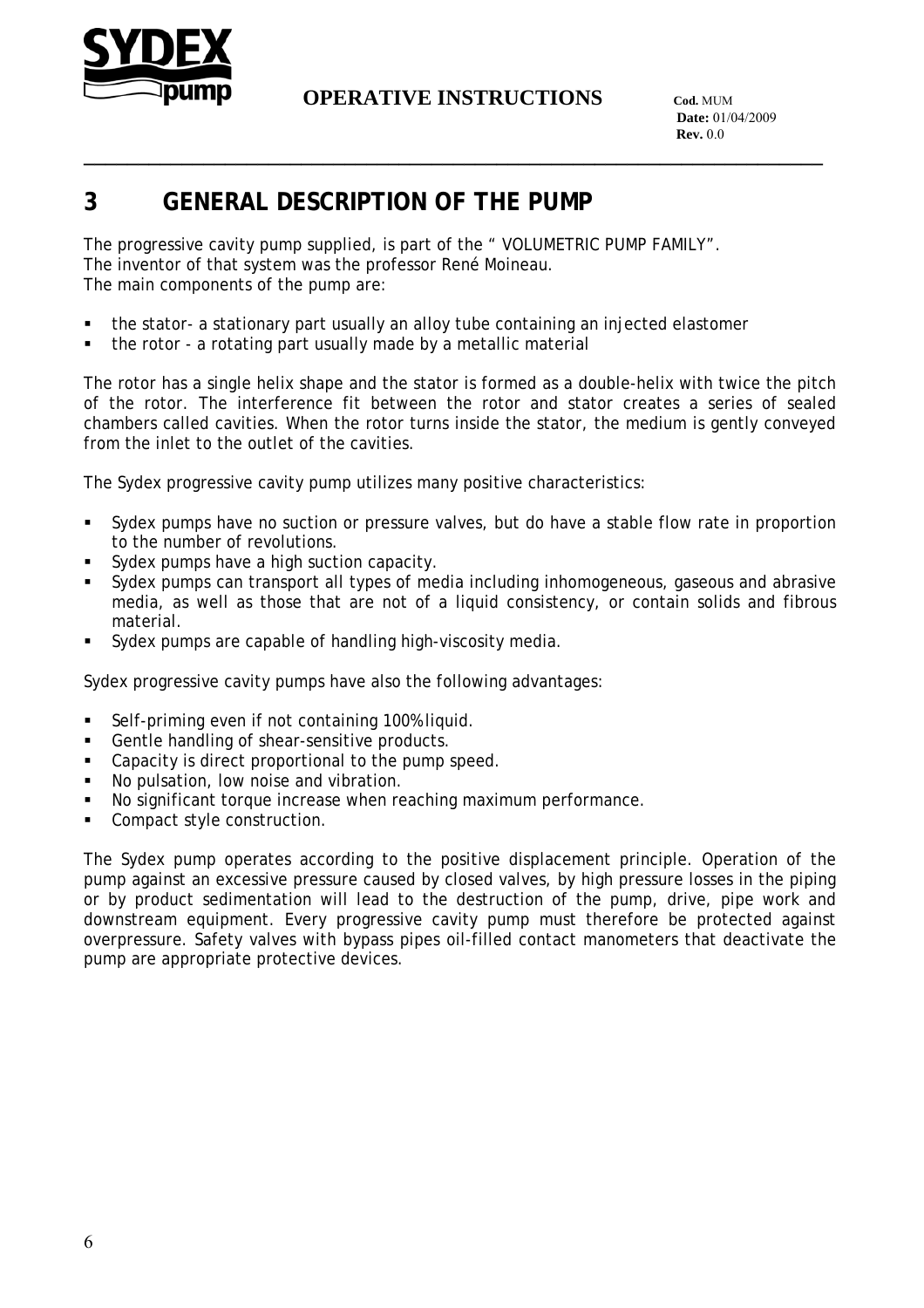

**\_\_\_\_\_\_\_\_\_\_\_\_\_\_\_\_\_\_\_\_\_\_\_\_\_\_\_\_\_\_\_\_\_\_\_\_\_\_\_\_\_\_\_\_\_\_\_\_\_\_\_\_\_\_\_\_\_\_\_\_\_\_\_\_\_\_\_\_**

 **Date:** 01/04/2009 **Rev.** 0.0

# **3 GENERAL DESCRIPTION OF THE PUMP**

The progressive cavity pump supplied, is part of the " VOLUMETRIC PUMP FAMILY". The inventor of that system was the professor René Moineau. The main components of the pump are:

- the stator- a stationary part usually an alloy tube containing an injected elastomer
- the rotor a rotating part usually made by a metallic material

The rotor has a single helix shape and the stator is formed as a double-helix with twice the pitch of the rotor. The interference fit between the rotor and stator creates a series of sealed chambers called cavities. When the rotor turns inside the stator, the medium is gently conveyed from the inlet to the outlet of the cavities.

The Sydex progressive cavity pump utilizes many positive characteristics:

- Sydex pumps have no suction or pressure valves, but do have a stable flow rate in proportion to the number of revolutions.
- Sydex pumps have a high suction capacity.
- Sydex pumps can transport all types of media including inhomogeneous, gaseous and abrasive media, as well as those that are not of a liquid consistency, or contain solids and fibrous material.
- Sydex pumps are capable of handling high-viscosity media.

Sydex progressive cavity pumps have also the following advantages:

- Self-priming even if not containing 100% liquid.
- Gentle handling of shear-sensitive products.
- **EXEC** Capacity is direct proportional to the pump speed.
- No pulsation, low noise and vibration.
- No significant torque increase when reaching maximum performance.
- Compact style construction.

The Sydex pump operates according to the positive displacement principle. Operation of the pump against an excessive pressure caused by closed valves, by high pressure losses in the piping or by product sedimentation will lead to the destruction of the pump, drive, pipe work and downstream equipment. Every progressive cavity pump must therefore be protected against overpressure. Safety valves with bypass pipes oil-filled contact manometers that deactivate the pump are appropriate protective devices.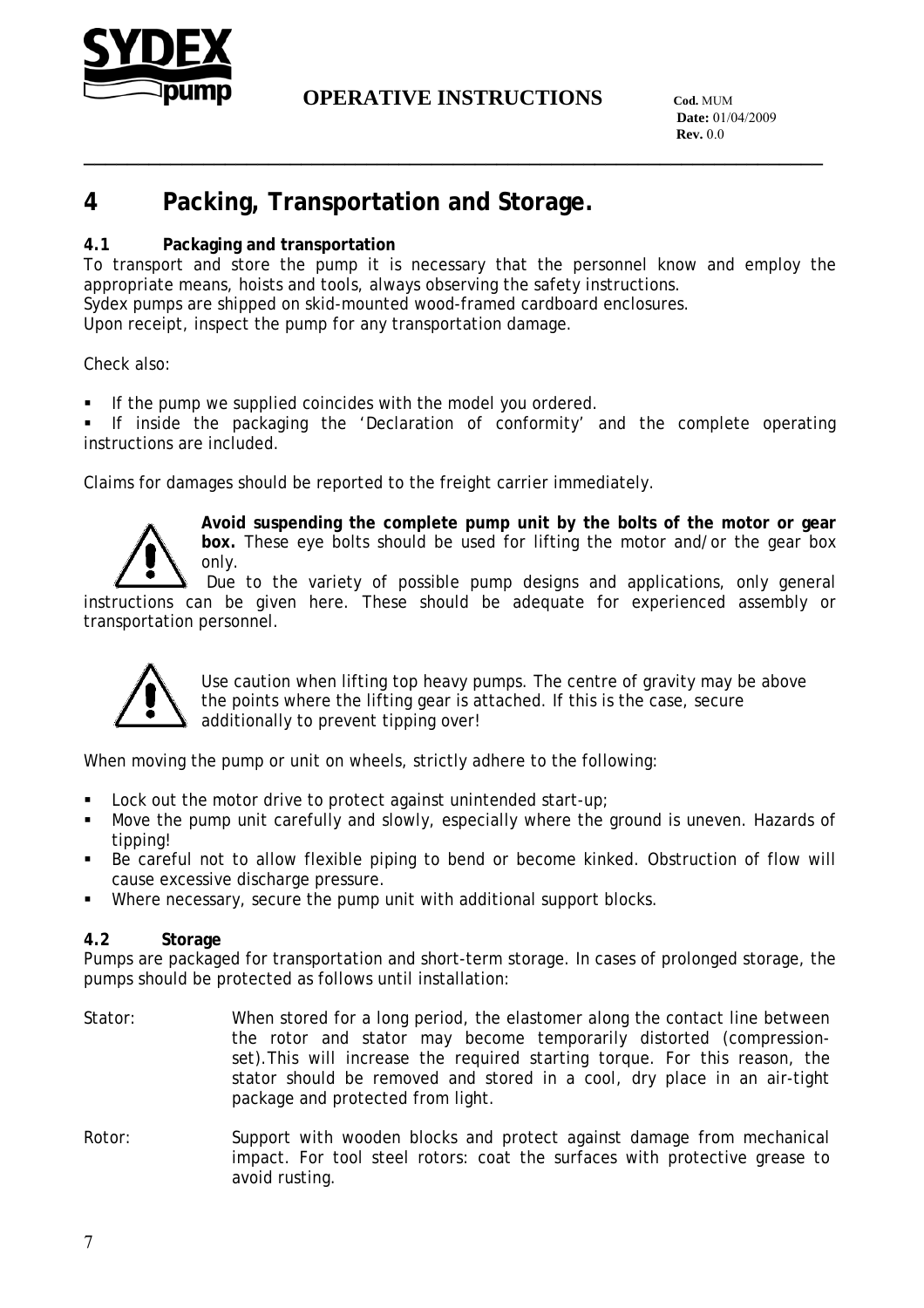

**\_\_\_\_\_\_\_\_\_\_\_\_\_\_\_\_\_\_\_\_\_\_\_\_\_\_\_\_\_\_\_\_\_\_\_\_\_\_\_\_\_\_\_\_\_\_\_\_\_\_\_\_\_\_\_\_\_\_\_\_\_\_\_\_\_\_\_\_**

# **4 Packing, Transportation and Storage.**

#### **4.1 Packaging and transportation**

To transport and store the pump it is necessary that the personnel know and employ the appropriate means, hoists and tools, always observing the safety instructions.

Sydex pumps are shipped on skid-mounted wood-framed cardboard enclosures.

Upon receipt, inspect the pump for any transportation damage.

Check also:

If the pump we supplied coincides with the model you ordered.

 If inside the packaging the 'Declaration of conformity' and the complete operating instructions are included.

Claims for damages should be reported to the freight carrier immediately.



**Avoid suspending the complete pump unit by the bolts of the motor or gear box.** These eye bolts should be used for lifting the motor and/or the gear box only.

 Due to the variety of possible pump designs and applications, only general instructions can be given here. These should be adequate for experienced assembly or transportation personnel.



Use caution when lifting top heavy pumps. The centre of gravity may be above the points where the lifting gear is attached. If this is the case, secure additionally to prevent tipping over!

When moving the pump or unit on wheels, strictly adhere to the following:

- Lock out the motor drive to protect against unintended start-up;
- Move the pump unit carefully and slowly, especially where the ground is uneven. Hazards of tipping!
- Be careful not to allow flexible piping to bend or become kinked. Obstruction of flow will cause excessive discharge pressure.
- Where necessary, secure the pump unit with additional support blocks.

#### **4.2 Storage**

Pumps are packaged for transportation and short-term storage. In cases of prolonged storage, the pumps should be protected as follows until installation:

- Stator: When stored for a long period, the elastomer along the contact line between the rotor and stator may become temporarily distorted (compressionset).This will increase the required starting torque. For this reason, the stator should be removed and stored in a cool, dry place in an air-tight package and protected from light.
- Rotor: Support with wooden blocks and protect against damage from mechanical impact. For tool steel rotors: coat the surfaces with protective grease to avoid rusting.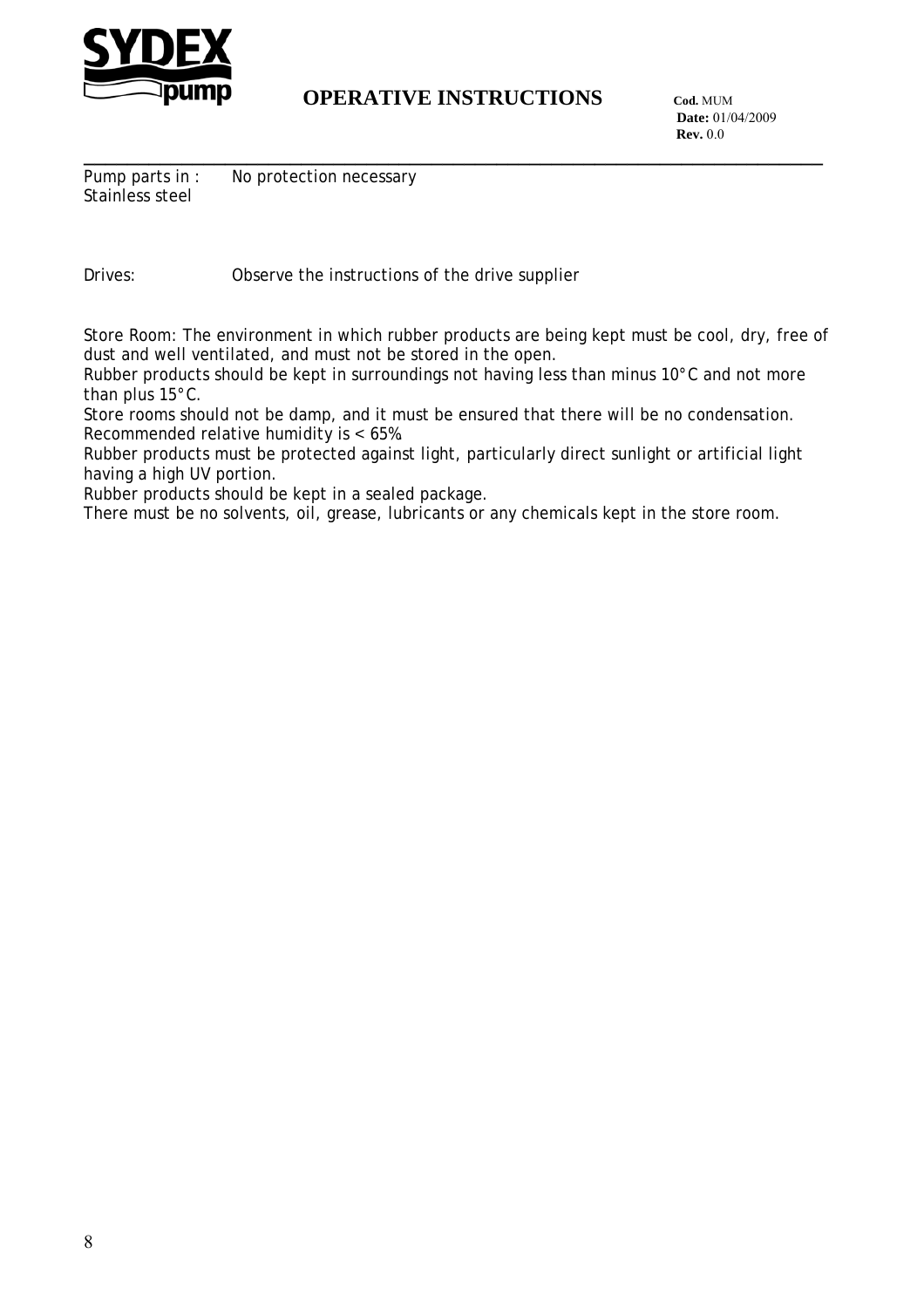

 **Date:** 01/04/2009 **Rev.** 0.0

**\_\_\_\_\_\_\_\_\_\_\_\_\_\_\_\_\_\_\_\_\_\_\_\_\_\_\_\_\_\_\_\_\_\_\_\_\_\_\_\_\_\_\_\_\_\_\_\_\_\_\_\_\_\_\_\_\_\_\_\_\_\_\_\_\_\_\_\_** Pump parts in : No protection necessary Stainless steel

Drives: Observe the instructions of the drive supplier

Store Room: The environment in which rubber products are being kept must be cool, dry, free of dust and well ventilated, and must not be stored in the open.

Rubber products should be kept in surroundings not having less than minus 10°C and not more than plus 15°C.

Store rooms should not be damp, and it must be ensured that there will be no condensation. Recommended relative humidity is < 65%.

Rubber products must be protected against light, particularly direct sunlight or artificial light having a high UV portion.

Rubber products should be kept in a sealed package.

There must be no solvents, oil, grease, lubricants or any chemicals kept in the store room.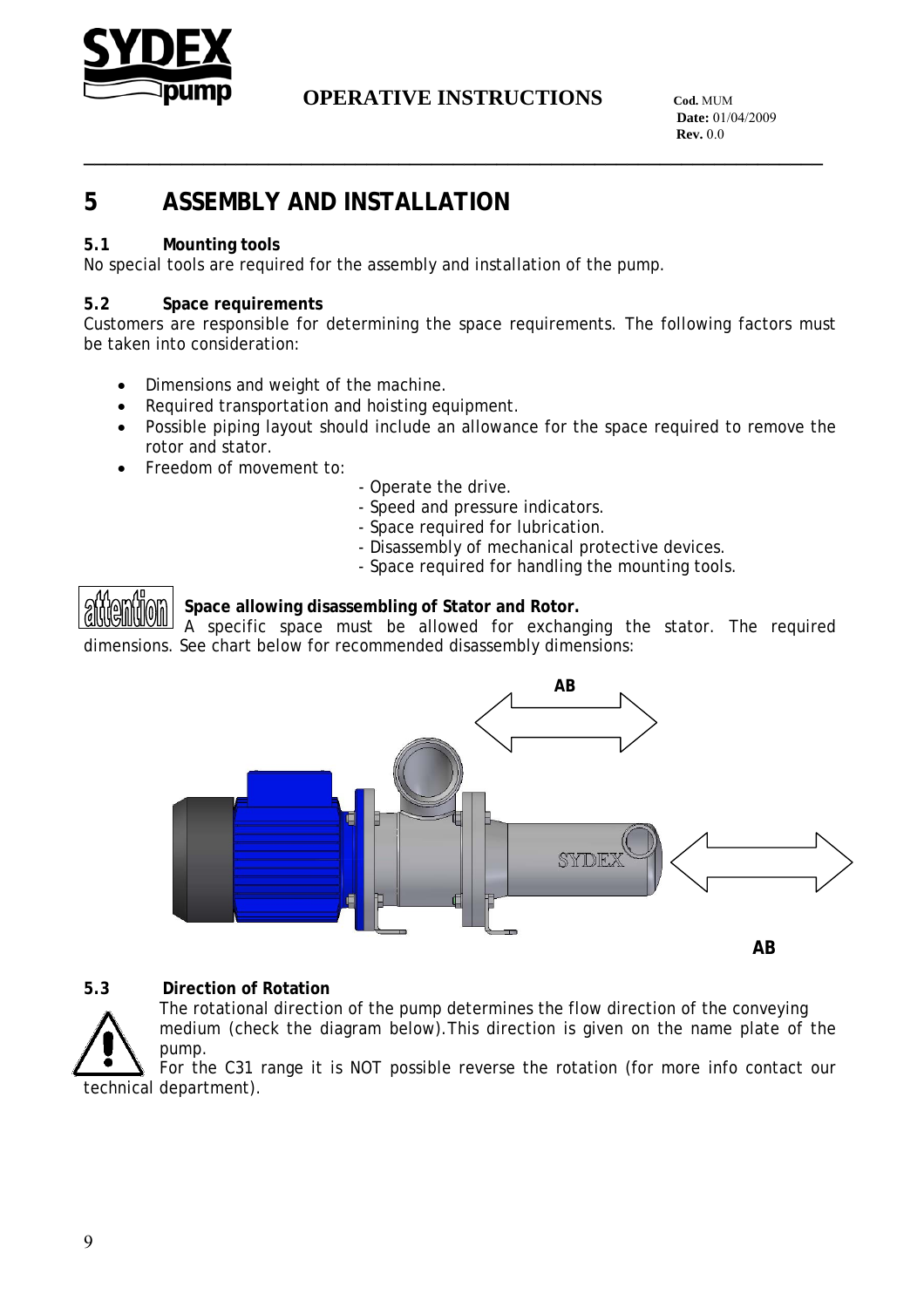

**\_\_\_\_\_\_\_\_\_\_\_\_\_\_\_\_\_\_\_\_\_\_\_\_\_\_\_\_\_\_\_\_\_\_\_\_\_\_\_\_\_\_\_\_\_\_\_\_\_\_\_\_\_\_\_\_\_\_\_\_\_\_\_\_\_\_\_\_**

 **Date:** 01/04/2009 **Rev.** 0.0

# **5 ASSEMBLY AND INSTALLATION**

#### **5.1 Mounting tools**

No special tools are required for the assembly and installation of the pump.

#### **5.2 Space requirements**

Customers are responsible for determining the space requirements. The following factors must be taken into consideration:

- Dimensions and weight of the machine.
- Required transportation and hoisting equipment.
- Possible piping layout should include an allowance for the space required to remove the rotor and stator.
- Freedom of movement to:
- Operate the drive.
- Speed and pressure indicators.
- Space required for lubrication.
- Disassembly of mechanical protective devices.
- Space required for handling the mounting tools.



#### **Space allowing disassembling of Stator and Rotor.**

A specific space must be allowed for exchanging the stator. The required dimensions. See chart below for recommended disassembly dimensions:



#### **5.3 Direction of Rotation**

The rotational direction of the pump determines the flow direction of the conveying medium (check the diagram below).This direction is given on the name plate of the pump.

For the C31 range it is NOT possible reverse the rotation (for more info contact our technical department).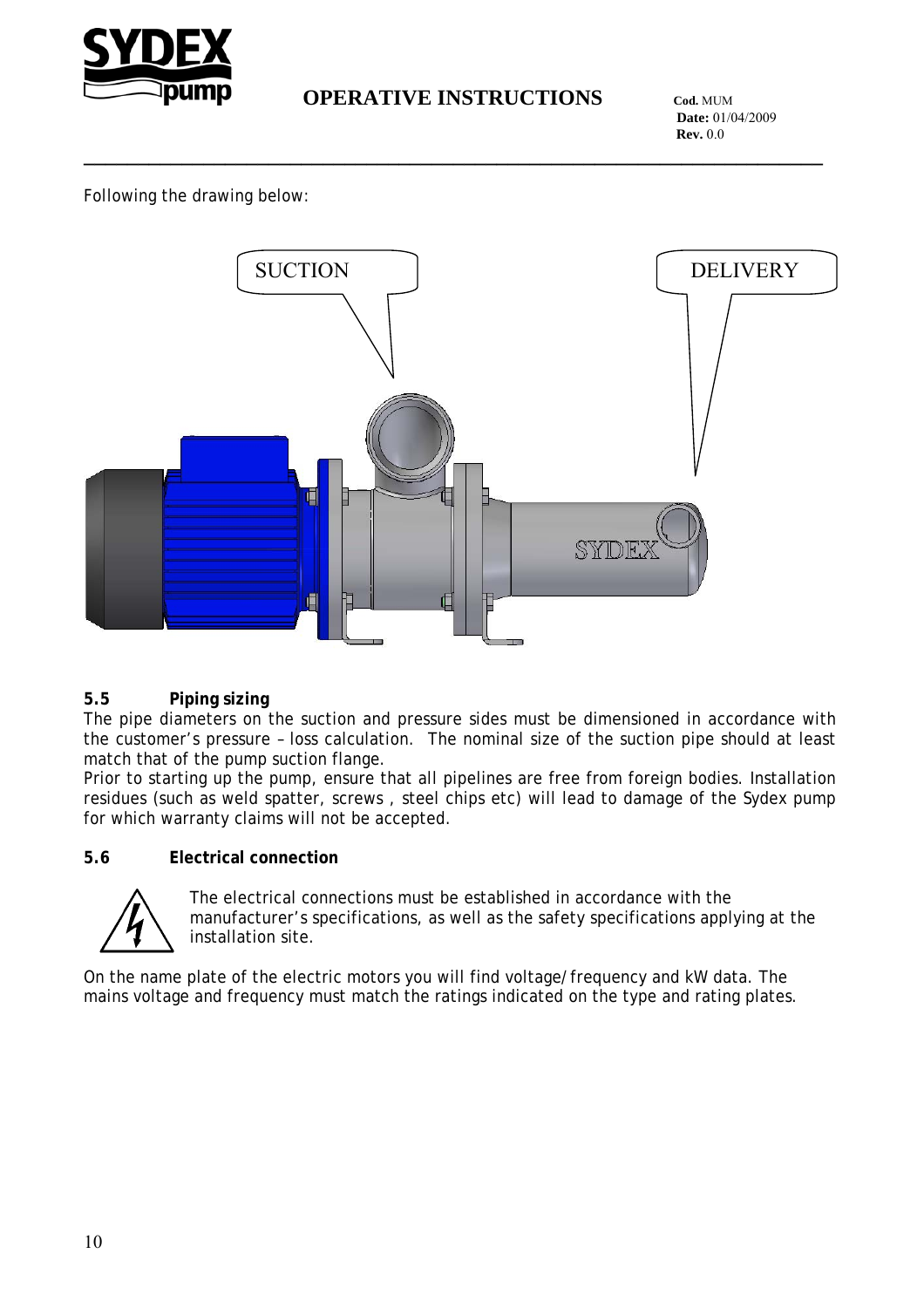

**\_\_\_\_\_\_\_\_\_\_\_\_\_\_\_\_\_\_\_\_\_\_\_\_\_\_\_\_\_\_\_\_\_\_\_\_\_\_\_\_\_\_\_\_\_\_\_\_\_\_\_\_\_\_\_\_\_\_\_\_\_\_\_\_\_\_\_\_**

 **Date:** 01/04/2009 **Rev.** 0.0

Following the drawing below:



#### **5.5 Piping sizing**

The pipe diameters on the suction and pressure sides must be dimensioned in accordance with the customer's pressure – loss calculation. The nominal size of the suction pipe should at least match that of the pump suction flange.

Prior to starting up the pump, ensure that all pipelines are free from foreign bodies. Installation residues (such as weld spatter, screws , steel chips etc) will lead to damage of the Sydex pump for which warranty claims will not be accepted.

#### **5.6 Electrical connection**



The electrical connections must be established in accordance with the manufacturer's specifications, as well as the safety specifications applying at the installation site.

On the name plate of the electric motors you will find voltage/frequency and kW data. The mains voltage and frequency must match the ratings indicated on the type and rating plates.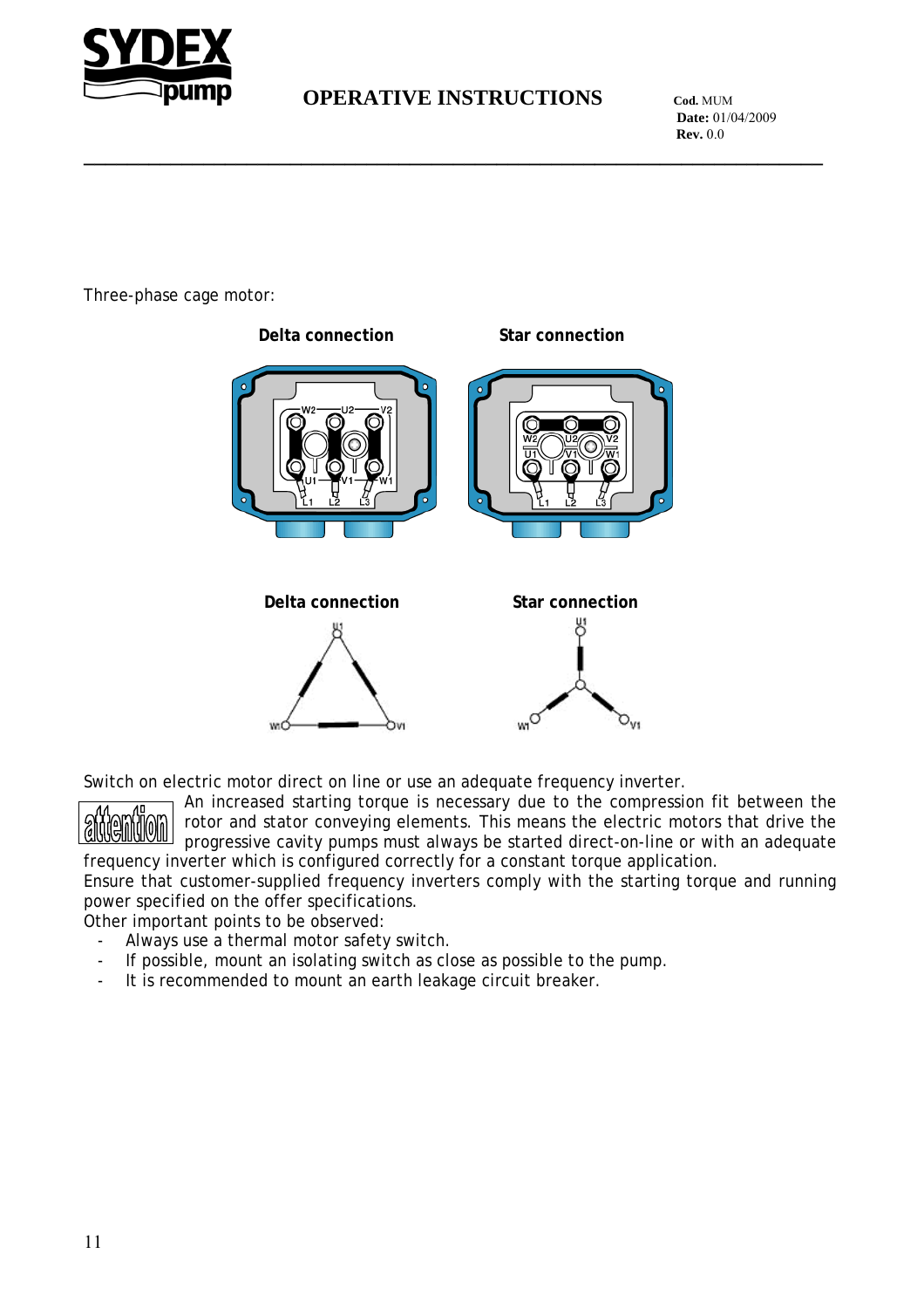

**\_\_\_\_\_\_\_\_\_\_\_\_\_\_\_\_\_\_\_\_\_\_\_\_\_\_\_\_\_\_\_\_\_\_\_\_\_\_\_\_\_\_\_\_\_\_\_\_\_\_\_\_\_\_\_\_\_\_\_\_\_\_\_\_\_\_\_\_**

 **Date:** 01/04/2009 **Rev.** 0.0

Three-phase cage motor:



Switch on electric motor direct on line or use an adequate frequency inverter.



An increased starting torque is necessary due to the compression fit between the rotor and stator conveying elements. This means the electric motors that drive the progressive cavity pumps must always be started direct-on-line or with an adequate frequency inverter which is configured correctly for a constant torque application.

Ensure that customer-supplied frequency inverters comply with the starting torque and running power specified on the offer specifications.

Other important points to be observed:

- Always use a thermal motor safety switch.
- If possible, mount an isolating switch as close as possible to the pump.
- It is recommended to mount an earth leakage circuit breaker.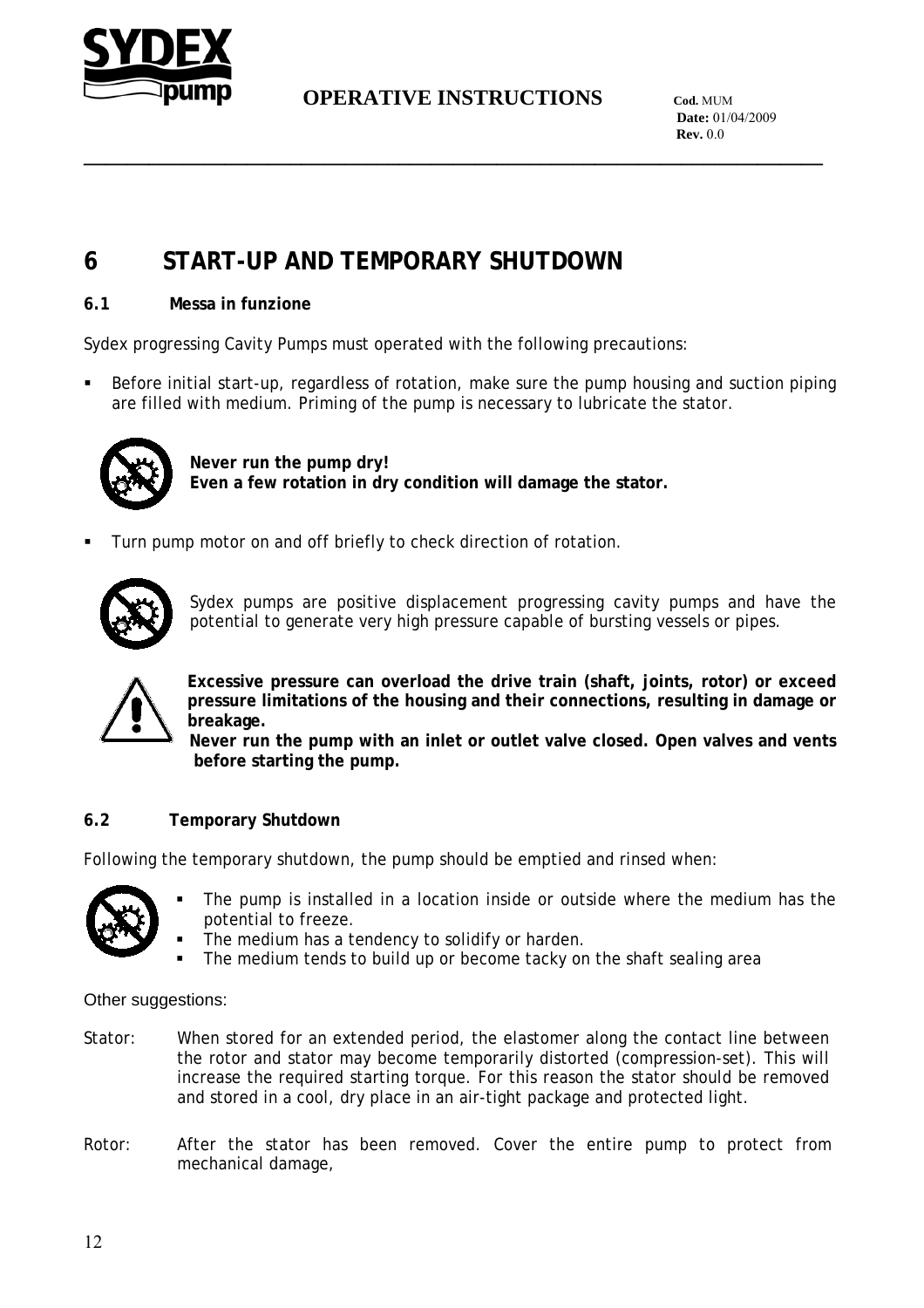

**\_\_\_\_\_\_\_\_\_\_\_\_\_\_\_\_\_\_\_\_\_\_\_\_\_\_\_\_\_\_\_\_\_\_\_\_\_\_\_\_\_\_\_\_\_\_\_\_\_\_\_\_\_\_\_\_\_\_\_\_\_\_\_\_\_\_\_\_**

 **Date:** 01/04/2009 **Rev.** 0.0

# **6 START-UP AND TEMPORARY SHUTDOWN**

#### **6.1 Messa in funzione**

Sydex progressing Cavity Pumps must operated with the following precautions:

 Before initial start-up, regardless of rotation, make sure the pump housing and suction piping are filled with medium. Priming of the pump is necessary to lubricate the stator.



**Never run the pump dry! Even a few rotation in dry condition will damage the stator.** 

Turn pump motor on and off briefly to check direction of rotation.



Sydex pumps are positive displacement progressing cavity pumps and have the potential to generate very high pressure capable of bursting vessels or pipes.



**Excessive pressure can overload the drive train (shaft, joints, rotor) or exceed pressure limitations of the housing and their connections, resulting in damage or breakage.** 

**Never run the pump with an inlet or outlet valve closed. Open valves and vents before starting the pump.** 

#### **6.2 Temporary Shutdown**

Following the temporary shutdown, the pump should be emptied and rinsed when:



- The pump is installed in a location inside or outside where the medium has the potential to freeze.
- The medium has a tendency to solidify or harden.
- The medium tends to build up or become tacky on the shaft sealing area

Other suggestions:

- Stator: When stored for an extended period, the elastomer along the contact line between the rotor and stator may become temporarily distorted (compression-set). This will increase the required starting torque. For this reason the stator should be removed and stored in a cool, dry place in an air-tight package and protected light.
- Rotor: After the stator has been removed. Cover the entire pump to protect from mechanical damage,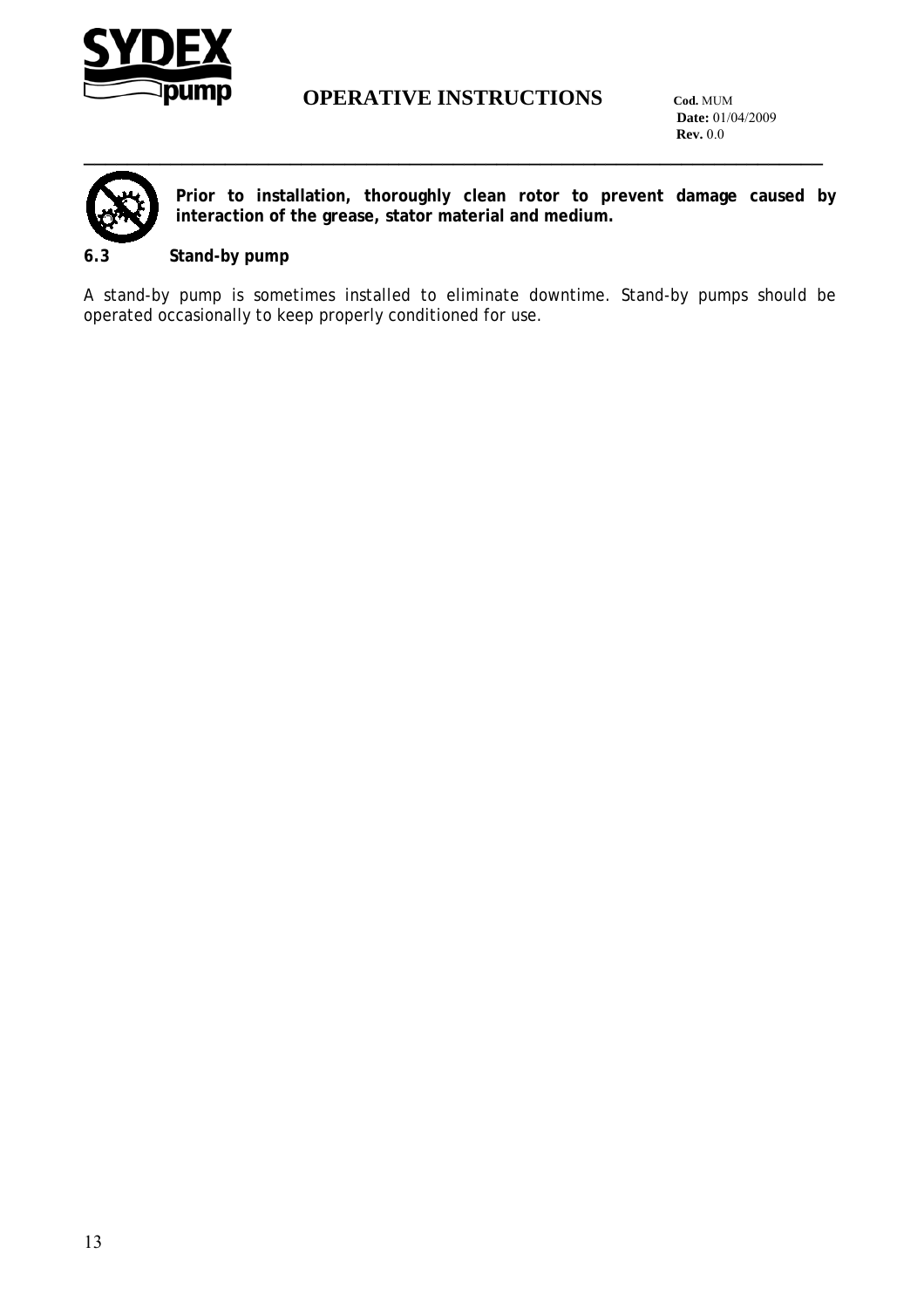

 **Date:** 01/04/2009 **Rev.** 0.0



**Prior to installation, thoroughly clean rotor to prevent damage caused by interaction of the grease, stator material and medium.** 

#### **6.3 Stand-by pump**

A stand-by pump is sometimes installed to eliminate downtime. Stand-by pumps should be operated occasionally to keep properly conditioned for use.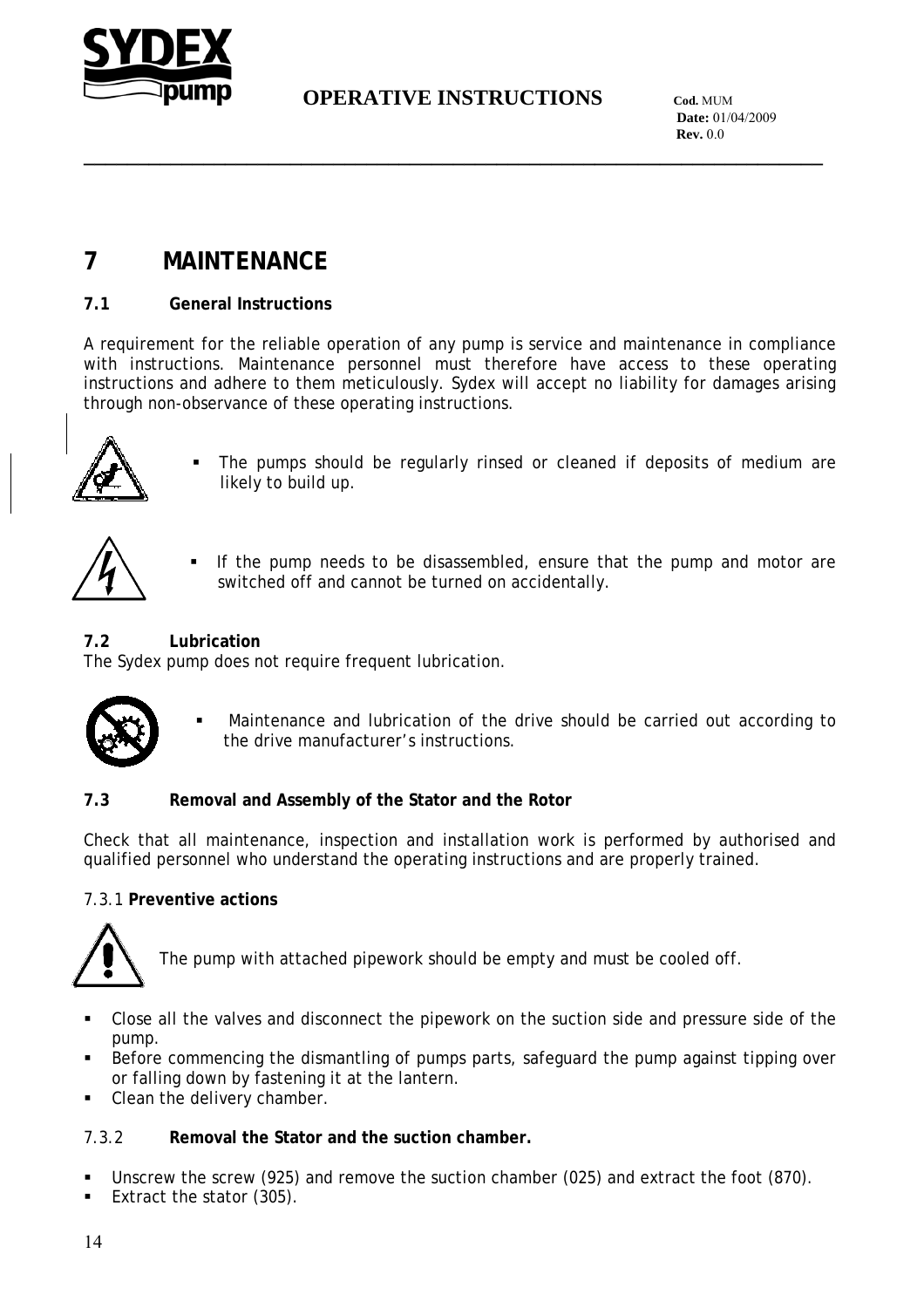

**\_\_\_\_\_\_\_\_\_\_\_\_\_\_\_\_\_\_\_\_\_\_\_\_\_\_\_\_\_\_\_\_\_\_\_\_\_\_\_\_\_\_\_\_\_\_\_\_\_\_\_\_\_\_\_\_\_\_\_\_\_\_\_\_\_\_\_\_**

 **Date:** 01/04/2009 **Rev.** 0.0

# **7 MAINTENANCE**

#### **7.1 General Instructions**

A requirement for the reliable operation of any pump is service and maintenance in compliance with instructions. Maintenance personnel must therefore have access to these operating instructions and adhere to them meticulously. Sydex will accept no liability for damages arising through non-observance of these operating instructions.



 The pumps should be regularly rinsed or cleaned if deposits of medium are likely to build up.



 If the pump needs to be disassembled, ensure that the pump and motor are switched off and cannot be turned on accidentally.

#### **7.2 Lubrication**

The Sydex pump does not require frequent lubrication.



 Maintenance and lubrication of the drive should be carried out according to the drive manufacturer's instructions.

#### **7.3 Removal and Assembly of the Stator and the Rotor**

Check that all maintenance, inspection and installation work is performed by authorised and qualified personnel who understand the operating instructions and are properly trained.

#### 7.3.1 **Preventive actions**



The pump with attached pipework should be empty and must be cooled off.

- Close all the valves and disconnect the pipework on the suction side and pressure side of the pump.
- Before commencing the dismantling of pumps parts, safeguard the pump against tipping over or falling down by fastening it at the lantern.
- Clean the delivery chamber.

#### 7.3.2 **Removal the Stator and the suction chamber.**

- Unscrew the screw (925) and remove the suction chamber (025) and extract the foot (870).
- Extract the stator (305).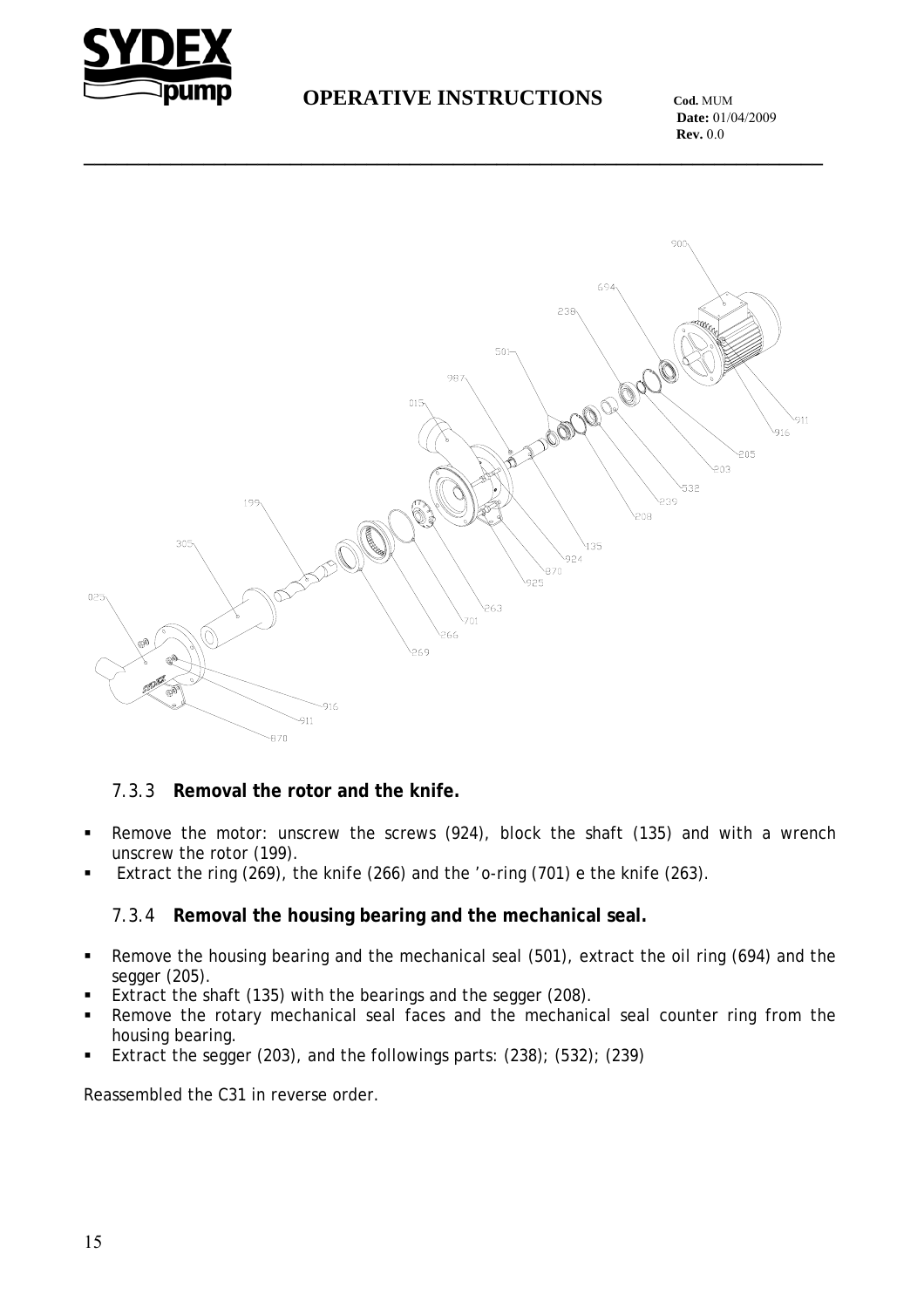

**\_\_\_\_\_\_\_\_\_\_\_\_\_\_\_\_\_\_\_\_\_\_\_\_\_\_\_\_\_\_\_\_\_\_\_\_\_\_\_\_\_\_\_\_\_\_\_\_\_\_\_\_\_\_\_\_\_\_\_\_\_\_\_\_\_\_\_\_**

 **Date:** 01/04/2009 **Rev.** 0.0



#### 7.3.3 **Removal the rotor and the knife.**

- Remove the motor: unscrew the screws (924), block the shaft (135) and with a wrench unscrew the rotor (199).
- Extract the ring (269), the knife (266) and the 'o-ring (701) e the knife (263).

#### 7.3.4 **Removal the housing bearing and the mechanical seal.**

- Remove the housing bearing and the mechanical seal (501), extract the oil ring (694) and the segger (205).
- Extract the shaft (135) with the bearings and the segger (208).
- Remove the rotary mechanical seal faces and the mechanical seal counter ring from the housing bearing.
- Extract the segger (203), and the followings parts:  $(238)$ ;  $(532)$ ;  $(239)$

Reassembled the C31 in reverse order.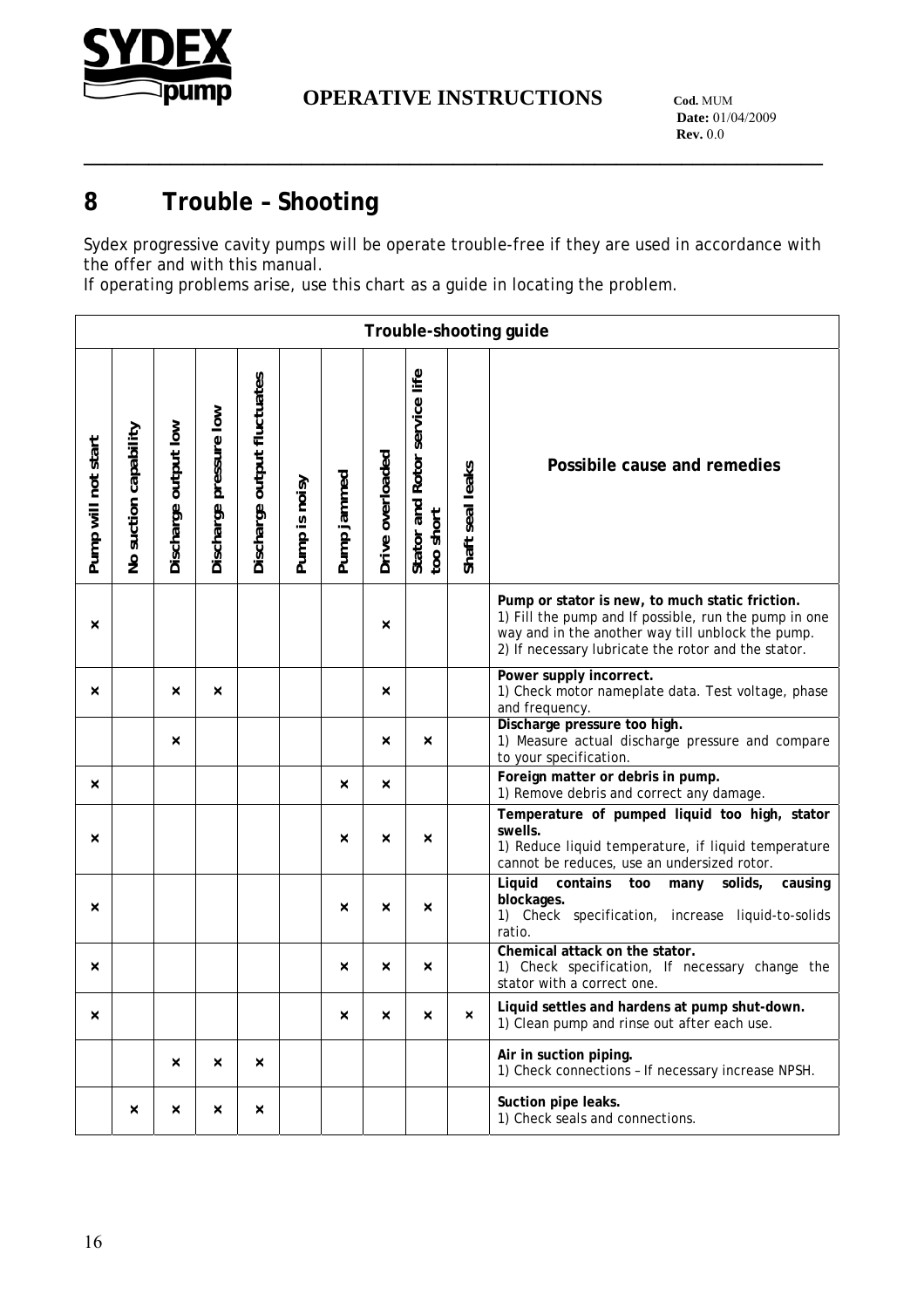

**\_\_\_\_\_\_\_\_\_\_\_\_\_\_\_\_\_\_\_\_\_\_\_\_\_\_\_\_\_\_\_\_\_\_\_\_\_\_\_\_\_\_\_\_\_\_\_\_\_\_\_\_\_\_\_\_\_\_\_\_\_\_\_\_\_\_\_\_**

# **8 Trouble – Shooting**

Sydex progressive cavity pumps will be operate trouble-free if they are used in accordance with the offer and with this manual.

If operating problems arise, use this chart as a guide in locating the problem.

|                     | Trouble-shooting guide |                      |                        |                             |               |             |                  |                                            |                  |                                                                                                                                                                                                                      |  |  |
|---------------------|------------------------|----------------------|------------------------|-----------------------------|---------------|-------------|------------------|--------------------------------------------|------------------|----------------------------------------------------------------------------------------------------------------------------------------------------------------------------------------------------------------------|--|--|
| Pump will not start | No suction capability  | Discharge output low | Discharge pressure low | Discharge output fluctuates | Pump is noisy | Pump jammed | Drive overloaded | Stator and Rotor service life<br>too short | Shaft seal leaks | Possibile cause and remedies                                                                                                                                                                                         |  |  |
| ×                   |                        |                      |                        |                             |               |             | ×                |                                            |                  | Pump or stator is new, to much static friction.<br>1) Fill the pump and If possible, run the pump in one<br>way and in the another way till unblock the pump.<br>2) If necessary lubricate the rotor and the stator. |  |  |
| ×                   |                        | $\times$             | ×                      |                             |               |             | $\times$         |                                            |                  | Power supply incorrect.<br>1) Check motor nameplate data. Test voltage, phase<br>and frequency.                                                                                                                      |  |  |
|                     |                        | $\times$             |                        |                             |               |             | $\times$         | $\times$                                   |                  | Discharge pressure too high.<br>1) Measure actual discharge pressure and compare<br>to your specification.                                                                                                           |  |  |
| $\times$            |                        |                      |                        |                             |               | ×           | ×                |                                            |                  | Foreign matter or debris in pump.<br>1) Remove debris and correct any damage.                                                                                                                                        |  |  |
| $\times$            |                        |                      |                        |                             |               | ×           | $\times$         | $\times$                                   |                  | Temperature of pumped liquid too high, stator<br>swells.<br>1) Reduce liquid temperature, if liquid temperature<br>cannot be reduces, use an undersized rotor.                                                       |  |  |
| ×                   |                        |                      |                        |                             |               | ×           | ×                | ×                                          |                  | Liquid<br>contains<br>solids,<br>too<br>many<br>causing<br>blockages.<br>1) Check specification, increase liquid-to-solids<br>ratio.                                                                                 |  |  |
| ×                   |                        |                      |                        |                             |               | ×           | ×                | $\boldsymbol{\times}$                      |                  | Chemical attack on the stator.<br>1) Check specification, If necessary change the<br>stator with a correct one.                                                                                                      |  |  |
| $\times$            |                        |                      |                        |                             |               | ×           | ×                | $\times$                                   | $\times$         | Liquid settles and hardens at pump shut-down.<br>1) Clean pump and rinse out after each use.                                                                                                                         |  |  |
|                     |                        | $\times$             | ×                      | ×                           |               |             |                  |                                            |                  | Air in suction piping.<br>1) Check connections - If necessary increase NPSH.                                                                                                                                         |  |  |
|                     | ×                      | $\times$             | ×                      | $\times$                    |               |             |                  |                                            |                  | Suction pipe leaks.<br>1) Check seals and connections.                                                                                                                                                               |  |  |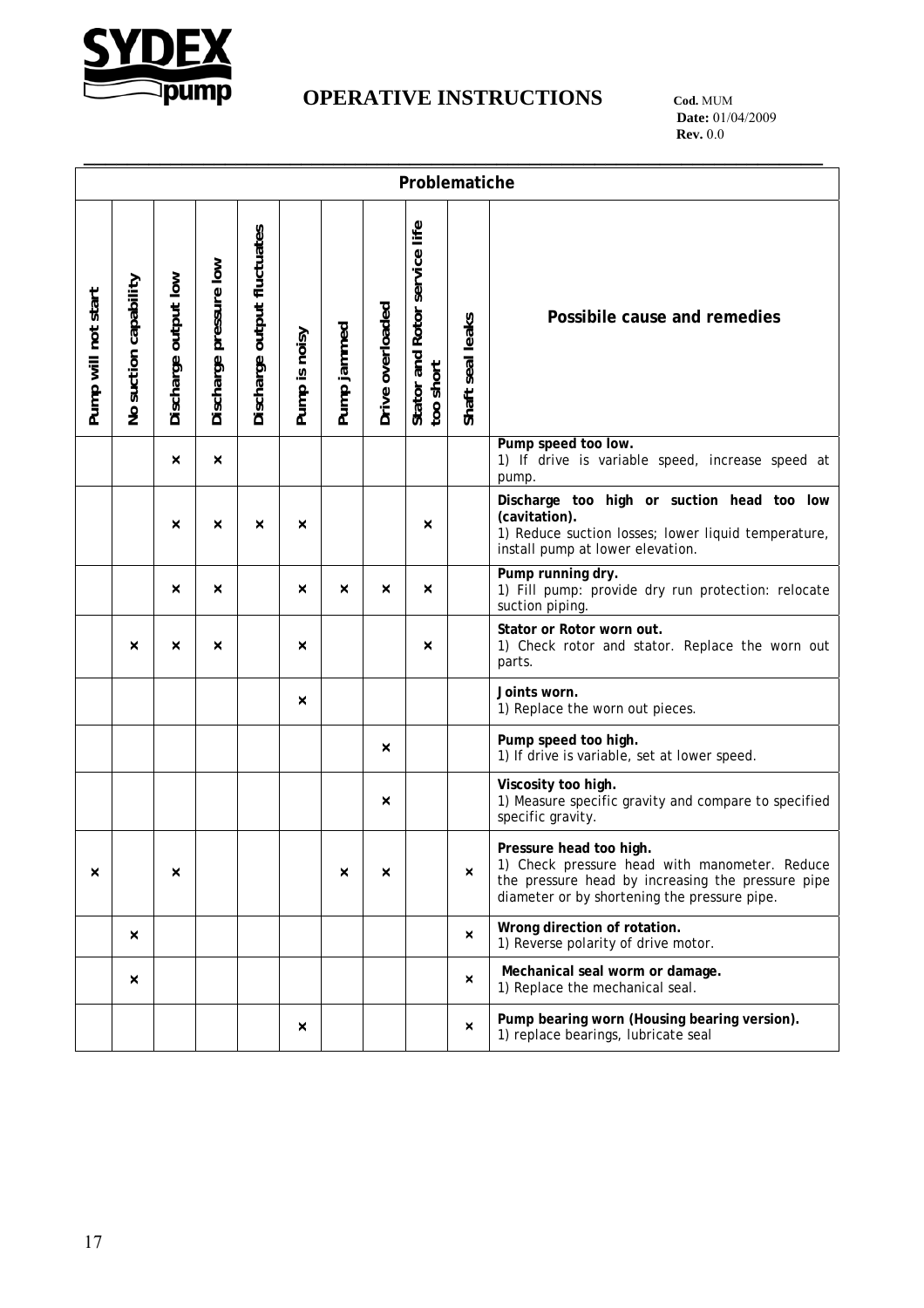

# **IPUMP** OPERATIVE INSTRUCTIONS COd. MUM

 **Date:** 01/04/2009 **Rev.** 0.0

|                     | Problematiche         |                      |                        |                             |               |             |                  |                                            |                  |                                                                                                                                                                               |  |
|---------------------|-----------------------|----------------------|------------------------|-----------------------------|---------------|-------------|------------------|--------------------------------------------|------------------|-------------------------------------------------------------------------------------------------------------------------------------------------------------------------------|--|
| Pump will not start | No suction capability | Discharge output low | Discharge pressure low | Discharge output fluctuates | Pump is noisy | Pump jammed | Drive overloaded | Stator and Rotor service life<br>too short | Shaft seal leaks | Possibile cause and remedies                                                                                                                                                  |  |
|                     |                       | ×                    | $\times$               |                             |               |             |                  |                                            |                  | Pump speed too low.<br>1) If drive is variable speed, increase speed at<br>pump.                                                                                              |  |
|                     |                       | ×                    | $\times$               | ×                           | ×             |             |                  | ×                                          |                  | Discharge too high or suction head too low<br>(cavitation).<br>1) Reduce suction losses; lower liquid temperature,<br>install pump at lower elevation.                        |  |
|                     |                       | ×                    | $\times$               |                             | ×             | ×           | ×                | $\times$                                   |                  | Pump running dry.<br>1) Fill pump: provide dry run protection: relocate<br>suction piping.                                                                                    |  |
|                     | ×                     | ×                    | ×                      |                             | ×             |             |                  | ×                                          |                  | Stator or Rotor worn out.<br>1) Check rotor and stator. Replace the worn out<br>parts.                                                                                        |  |
|                     |                       |                      |                        |                             | ×             |             |                  |                                            |                  | Joints worn.<br>1) Replace the worn out pieces.                                                                                                                               |  |
|                     |                       |                      |                        |                             |               |             | ×                |                                            |                  | Pump speed too high.<br>1) If drive is variable, set at lower speed.                                                                                                          |  |
|                     |                       |                      |                        |                             |               |             | ×                |                                            |                  | Viscosity too high.<br>1) Measure specific gravity and compare to specified<br>specific gravity.                                                                              |  |
| $\times$            |                       | ×                    |                        |                             |               | ×           | ×                |                                            | ×                | Pressure head too high.<br>1) Check pressure head with manometer. Reduce<br>the pressure head by increasing the pressure pipe<br>diameter or by shortening the pressure pipe. |  |
|                     | $\boldsymbol{\times}$ |                      |                        |                             |               |             |                  |                                            | ×                | Wrong direction of rotation.<br>1) Reverse polarity of drive motor.                                                                                                           |  |
|                     | $\boldsymbol{\times}$ |                      |                        |                             |               |             |                  |                                            | ×                | Mechanical seal worm or damage.<br>1) Replace the mechanical seal.                                                                                                            |  |
|                     |                       |                      |                        |                             | ×             |             |                  |                                            | ×                | Pump bearing worn (Housing bearing version).<br>1) replace bearings, lubricate seal                                                                                           |  |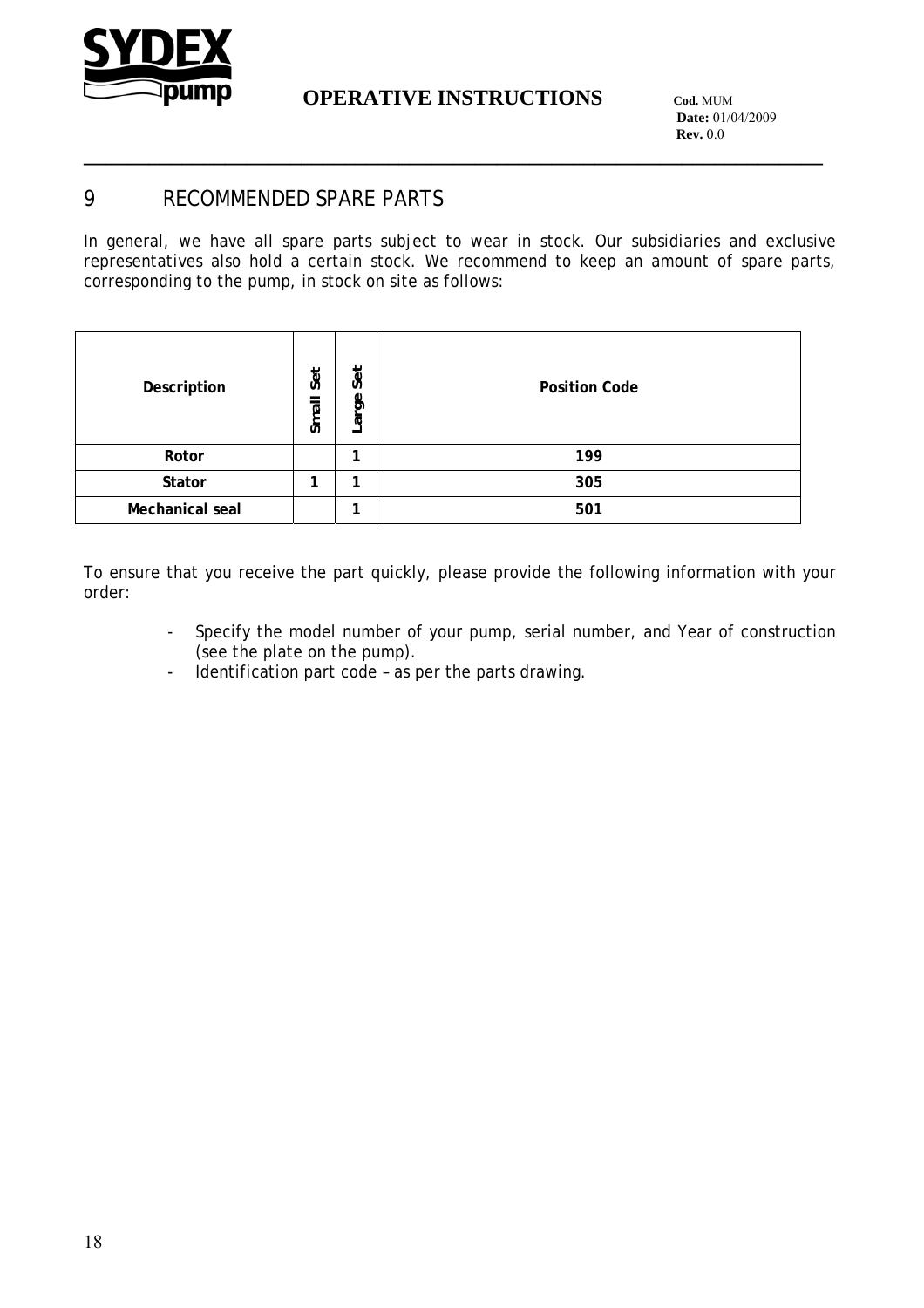

**\_\_\_\_\_\_\_\_\_\_\_\_\_\_\_\_\_\_\_\_\_\_\_\_\_\_\_\_\_\_\_\_\_\_\_\_\_\_\_\_\_\_\_\_\_\_\_\_\_\_\_\_\_\_\_\_\_\_\_\_\_\_\_\_\_\_\_\_**

 **Date:** 01/04/2009 **Rev.** 0.0

### 9 RECOMMENDED SPARE PARTS

In general, we have all spare parts subject to wear in stock. Our subsidiaries and exclusive representatives also hold a certain stock. We recommend to keep an amount of spare parts, corresponding to the pump, in stock on site as follows:

| Description     | Set<br>Small | Set<br>கூ<br>న్ | <b>Position Code</b> |
|-----------------|--------------|-----------------|----------------------|
| Rotor           |              |                 | 199                  |
| Stator          | ۰            |                 | 305                  |
| Mechanical seal |              |                 | 501                  |

To ensure that you receive the part quickly, please provide the following information with your order:

- Specify the model number of your pump, serial number, and Year of construction (see the plate on the pump).
- Identification part code as per the parts drawing.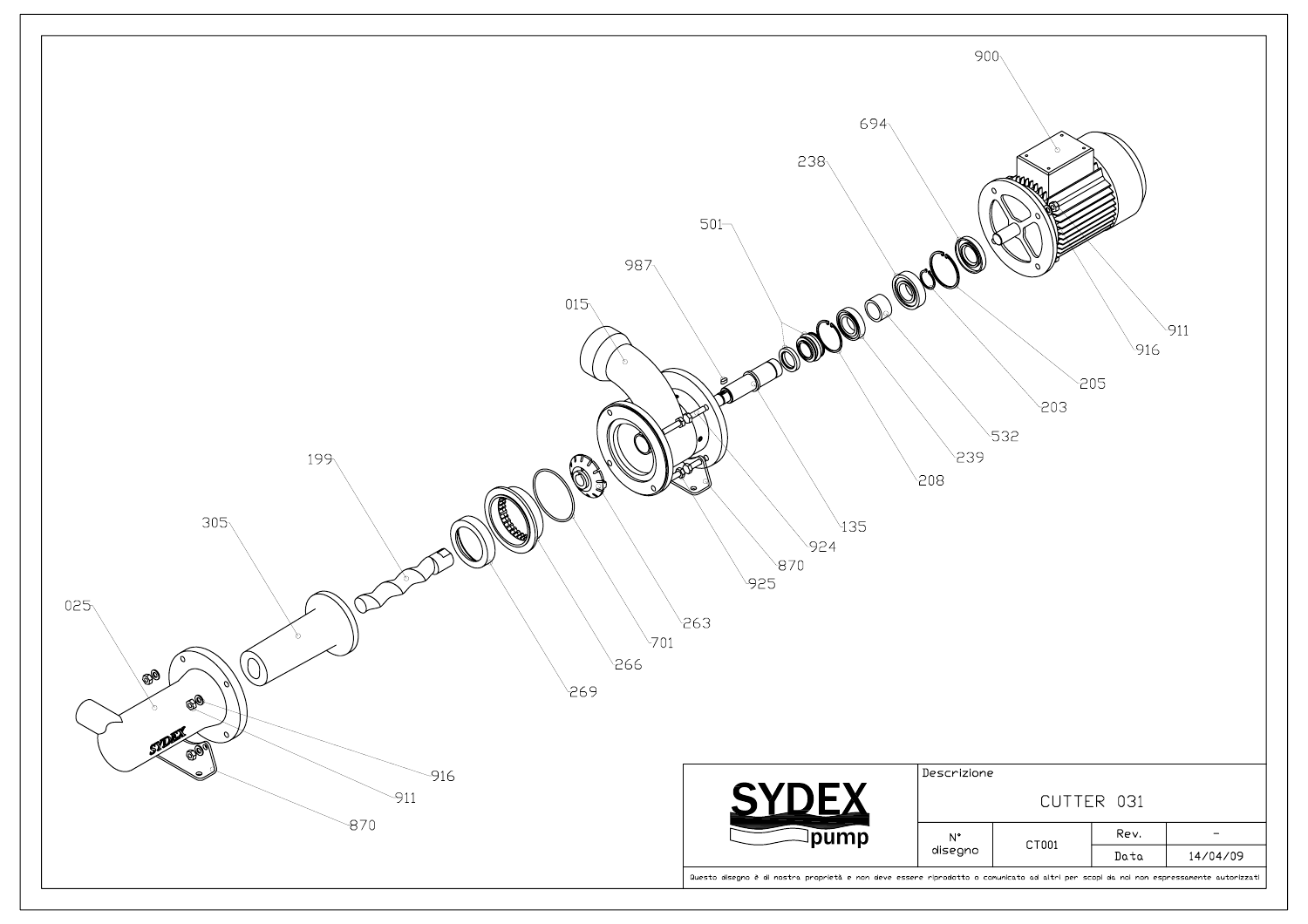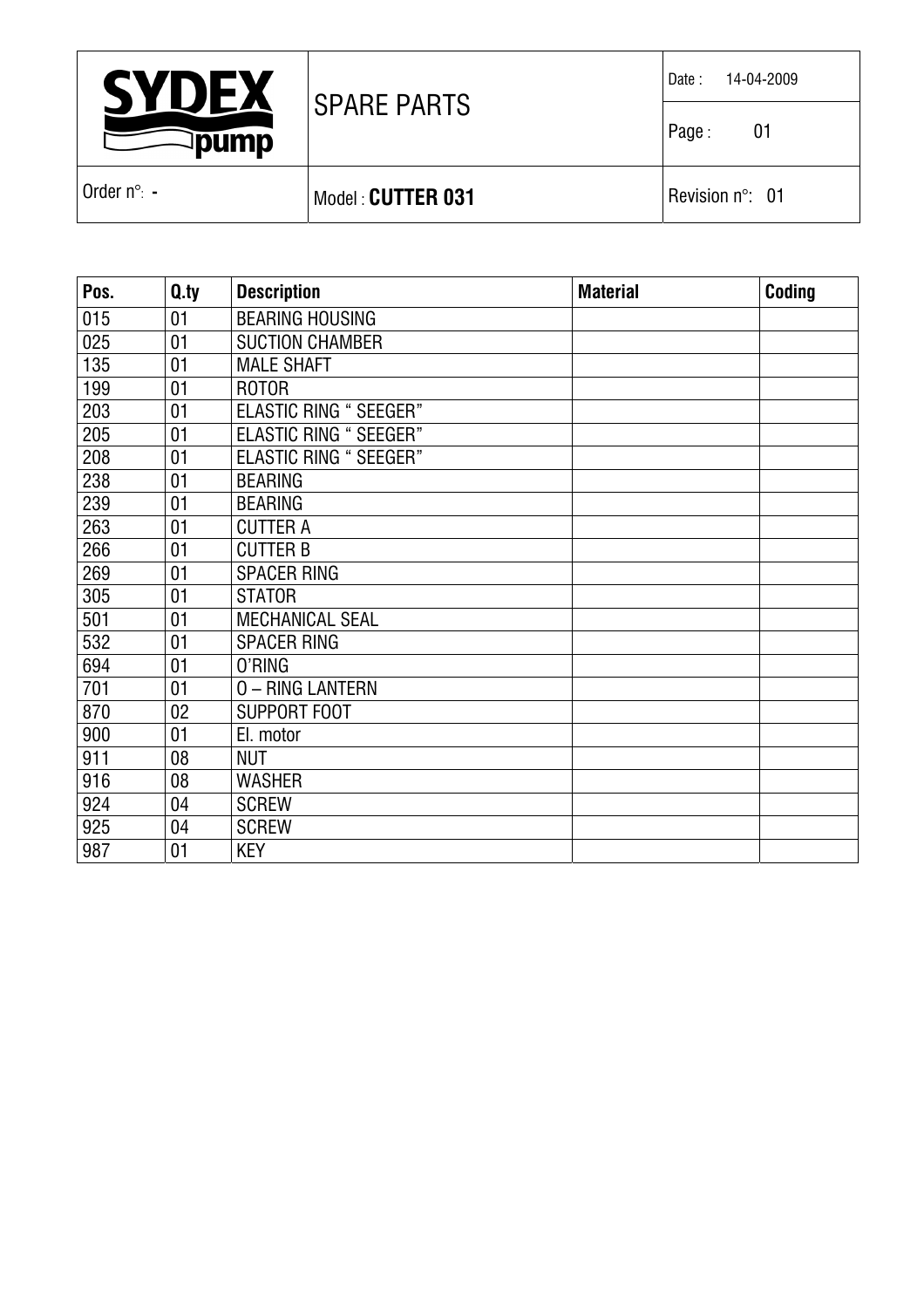| <b>SYDEX</b><br><b>pump</b> |                     | 14-04-2009<br>Date:       |
|-----------------------------|---------------------|---------------------------|
|                             | <b>ISPARE PARTS</b> | Page:<br>01               |
| l Order n°: -               | Model: CUTTER 031   | Revision $n^{\circ}$ : 01 |

| Pos. | Q.ty | <b>Description</b>            | <b>Material</b> | Coding |
|------|------|-------------------------------|-----------------|--------|
| 015  | 01   | <b>BEARING HOUSING</b>        |                 |        |
| 025  | 01   | <b>SUCTION CHAMBER</b>        |                 |        |
| 135  | 01   | <b>MALE SHAFT</b>             |                 |        |
| 199  | 01   | <b>ROTOR</b>                  |                 |        |
| 203  | 01   | <b>ELASTIC RING " SEEGER"</b> |                 |        |
| 205  | 01   | <b>ELASTIC RING " SEEGER"</b> |                 |        |
| 208  | 01   | <b>ELASTIC RING " SEEGER"</b> |                 |        |
| 238  | 01   | <b>BEARING</b>                |                 |        |
| 239  | 01   | <b>BEARING</b>                |                 |        |
| 263  | 01   | <b>CUTTER A</b>               |                 |        |
| 266  | 01   | <b>CUTTER B</b>               |                 |        |
| 269  | 01   | <b>SPACER RING</b>            |                 |        |
| 305  | 01   | <b>STATOR</b>                 |                 |        |
| 501  | 01   | <b>MECHANICAL SEAL</b>        |                 |        |
| 532  | 01   | <b>SPACER RING</b>            |                 |        |
| 694  | 01   | 0'RING                        |                 |        |
| 701  | 01   | 0 - RING LANTERN              |                 |        |
| 870  | 02   | <b>SUPPORT FOOT</b>           |                 |        |
| 900  | 01   | El. motor                     |                 |        |
| 911  | 08   | <b>NUT</b>                    |                 |        |
| 916  | 08   | <b>WASHER</b>                 |                 |        |
| 924  | 04   | <b>SCREW</b>                  |                 |        |
| 925  | 04   | <b>SCREW</b>                  |                 |        |
| 987  | 01   | <b>KEY</b>                    |                 |        |